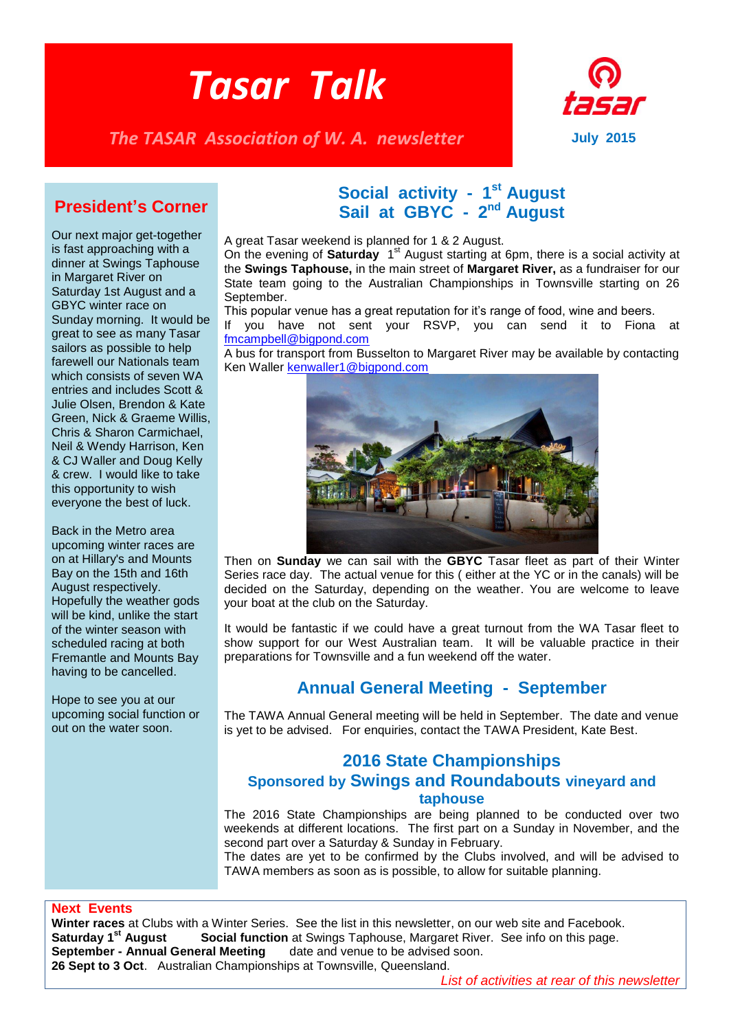# *Tasar Talk*

*The TASAR Association of W. A. newsletter* **July 2015** 



### **President's Corner**

Our next major get-together is fast approaching with a dinner at Swings Taphouse in Margaret River on Saturday 1st August and a GBYC winter race on Sunday morning. It would be great to see as many Tasar sailors as possible to help farewell our Nationals team which consists of seven WA entries and includes Scott & Julie Olsen, Brendon & Kate Green, Nick & Graeme Willis, Chris & Sharon Carmichael, Neil & Wendy Harrison, Ken & CJ Waller and Doug Kelly & crew. I would like to take this opportunity to wish everyone the best of luck.

Back in the Metro area upcoming winter races are on at Hillary's and Mounts Bay on the 15th and 16th August respectively. Hopefully the weather gods will be kind, unlike the start of the winter season with scheduled racing at both Fremantle and Mounts Bay having to be cancelled.

Hope to see you at our upcoming social function or out on the water soon.

# **Social activity - 1<sup>st</sup> August** Sail at GBYC - 2<sup>nd</sup> August

A great Tasar weekend is planned for 1 & 2 August.

On the evening of **Saturday** 1<sup>st</sup> August starting at 6pm, there is a social activity at the **Swings Taphouse,** in the main street of **Margaret River,** as a fundraiser for our State team going to the Australian Championships in Townsville starting on 26 September.

This popular venue has a great reputation for it's range of food, wine and beers.

If you have not sent your RSVP, you can send it to Fiona at [fmcampbell@bigpond.com](mailto:fmcampbell@bigpond.com)

A bus for transport from Busselton to Margaret River may be available by contacting Ken Waller [kenwaller1@bigpond.com](mailto:kenwaller1@bigpond.com) 



Then on **Sunday** we can sail with the **GBYC** Tasar fleet as part of their Winter Series race day. The actual venue for this ( either at the YC or in the canals) will be decided on the Saturday, depending on the weather. You are welcome to leave your boat at the club on the Saturday.

It would be fantastic if we could have a great turnout from the WA Tasar fleet to show support for our West Australian team. It will be valuable practice in their preparations for Townsville and a fun weekend off the water.

# **Annual General Meeting - September**

The TAWA Annual General meeting will be held in September. The date and venue is yet to be advised. For enquiries, contact the TAWA President, Kate Best.

### **2016 State Championships Sponsored by Swings and Roundabouts vineyard and taphouse**

The 2016 State Championships are being planned to be conducted over two weekends at different locations. The first part on a Sunday in November, and the second part over a Saturday & Sunday in February.

The dates are yet to be confirmed by the Clubs involved, and will be advised to TAWA members as soon as is possible, to allow for suitable planning.

#### **Next Events**

**Winter races** at Clubs with a Winter Series. See the list in this newsletter, on our web site and Facebook.<br>**Saturday 1<sup>st</sup> August Social function** at Swings Taphouse, Margaret River. See info on this page. **Social function** at Swings Taphouse, Margaret River. See info on this page. **September - Annual General Meeting** date and venue to be advised soon. **26 Sept to 3 Oct**. Australian Championships at Townsville, Queensland.

*List of activities at rear of this newsletter*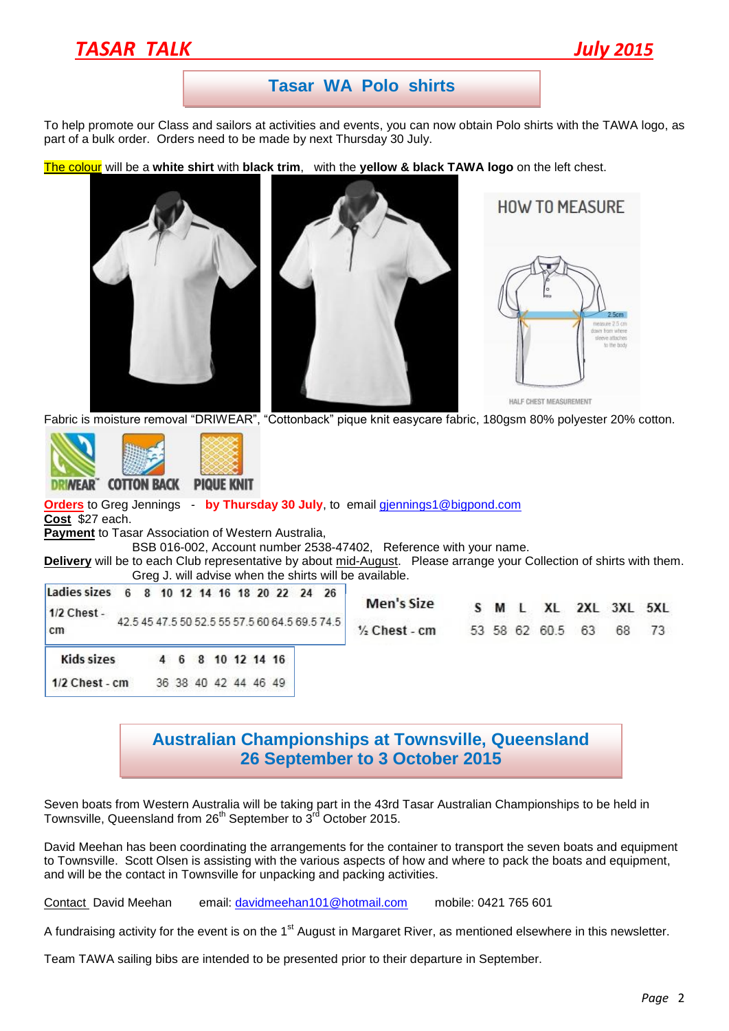# *TASAR TALK July 2015*

### **Tasar WA Polo shirts**

To help promote our Class and sailors at activities and events, you can now obtain Polo shirts with the TAWA logo, as part of a bulk order. Orders need to be made by next Thursday 30 July.

The colour will be a **white shirt** with **black trim**, with the **yellow & black TAWA logo** on the left chest.







Fabric is moisture removal "DRIWEAR", "Cottonback" pique knit easycare fabric, 180gsm 80% polyester 20% cotton.



**Orders** to Greg Jennings - **by Thursday 30 July**, to email [gjennings1@bigpond.com](mailto:gjennings1@bigpond.com) **Cost** \$27 each. **Payment** to Tasar Association of Western Australia,

BSB 016-002, Account number 2538-47402, Reference with your name.

**Delivery** will be to each Club representative by about mid-August. Please arrange your Collection of shirts with them. Greg J. will advise when the shirts will be available.

| Ladies sizes 6 8 10 12 14 16 18 20 22 24 26<br>1/2 Chest -<br>cm |                                                |  |  |  |                      |  | <b>Men's Size</b>        |  |                  |     | S M L XL 2XL 3XL 5XL |
|------------------------------------------------------------------|------------------------------------------------|--|--|--|----------------------|--|--------------------------|--|------------------|-----|----------------------|
|                                                                  | 42.5 45 47.5 50 52.5 55 57.5 60 64.5 69.5 74.5 |  |  |  |                      |  | $\frac{1}{2}$ Chest - cm |  | 53 58 62 60.5 63 | 68. | 73                   |
| <b>Kids sizes</b>                                                |                                                |  |  |  | 4 6 8 10 12 14 16    |  |                          |  |                  |     |                      |
| $1/2$ Chest - cm                                                 |                                                |  |  |  | 36 38 40 42 44 46 49 |  |                          |  |                  |     |                      |

### **Australian Championships at Townsville, Queensland 26 September to 3 October 2015**

Seven boats from Western Australia will be taking part in the 43rd Tasar Australian Championships to be held in Townsville, Queensland from 26<sup>th</sup> September to  $3^{rd}$  October 2015.

David Meehan has been coordinating the arrangements for the container to transport the seven boats and equipment to Townsville. Scott Olsen is assisting with the various aspects of how and where to pack the boats and equipment, and will be the contact in Townsville for unpacking and packing activities.

Contact David Meehan email: [davidmeehan101@hotmail.com](mailto:davidmeehan101@hotmail.com) mobile: 0421 765 601

A fundraising activity for the event is on the 1<sup>st</sup> August in Margaret River, as mentioned elsewhere in this newsletter.

Team TAWA sailing bibs are intended to be presented prior to their departure in September.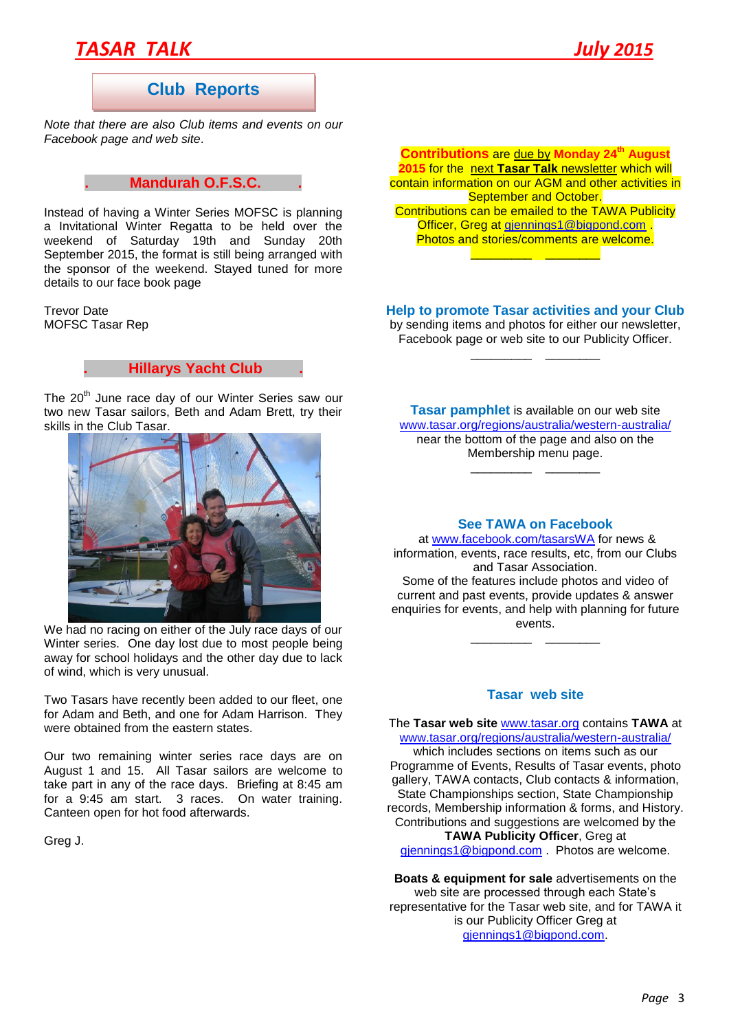# *TASAR TALK July 2015*

## **Club Reports**

*Note that there are also Club items and events on our Facebook page and web site*.

#### **. Mandurah O.F.S.C. .**

Instead of having a Winter Series MOFSC is planning a Invitational Winter Regatta to be held over the weekend of Saturday 19th and Sunday 20th September 2015, the format is still being arranged with the sponsor of the weekend. Stayed tuned for more details to our face book page

Trevor Date MOFSC Tasar Rep

#### **. Hillarys Yacht Club .**

The 20<sup>th</sup> June race day of our Winter Series saw our two new Tasar sailors, Beth and Adam Brett, try their skills in the Club Tasar.



We had no racing on either of the July race days of our Winter series. One day lost due to most people being away for school holidays and the other day due to lack of wind, which is very unusual.

Two Tasars have recently been added to our fleet, one for Adam and Beth, and one for Adam Harrison. They were obtained from the eastern states.

Our two remaining winter series race days are on August 1 and 15. All Tasar sailors are welcome to take part in any of the race days. Briefing at 8:45 am for a 9:45 am start. 3 races. On water training. Canteen open for hot food afterwards.

Greg J.

**Contributions** are due by **Monday 24th August 2015** for the next **Tasar Talk** newsletter which will contain information on our AGM and other activities in September and October. Contributions can be emailed to the TAWA Publicity Officer, Greg at [gjennings1@bigpond.com](mailto:gjennings1@bigpond.com) Photos and stories/comments are welcome. \_\_\_\_\_\_\_\_\_ \_\_\_\_\_\_\_\_

#### **Help to promote Tasar activities and your Club**

by sending items and photos for either our newsletter, Facebook page or web site to our Publicity Officer. \_\_\_\_\_\_\_\_\_ \_\_\_\_\_\_\_\_

**Tasar pamphlet** is available on our web site [www.tasar.org/regions/australia/western-australia/](http://www.tasar.org/regions/australia/western-australia/) near the bottom of the page and also on the Membership menu page.

\_\_\_\_\_\_\_\_\_ \_\_\_\_\_\_\_\_

#### **See TAWA on Facebook**

at [www.facebook.com/tasarsWA](http://www.facebook.com/tasarsWA) for news & information, events, race results, etc, from our Clubs and Tasar Association. Some of the features include photos and video of current and past events, provide updates & answer enquiries for events, and help with planning for future events.

#### **Tasar web site**

\_\_\_\_\_\_\_\_\_ \_\_\_\_\_\_\_\_

The **Tasar web site** [www.tasar.org](http://www.tasar.org/) contains **TAWA** at [www.tasar.org/regions/australia/western-australia/](http://www.tasar.org/regions/australia/western-australia/) which includes sections on items such as our Programme of Events, Results of Tasar events, photo gallery, TAWA contacts, Club contacts & information, State Championships section, State Championship records, Membership information & forms, and History. Contributions and suggestions are welcomed by the **TAWA Publicity Officer**, Greg at [gjennings1@bigpond.com](mailto:gjennings1@bigpond.com) . Photos are welcome.

**Boats & equipment for sale** advertisements on the web site are processed through each State's representative for the Tasar web site, and for TAWA it is our Publicity Officer Greg at [gjennings1@bigpond.com.](mailto:gjennings1@bigpond.com)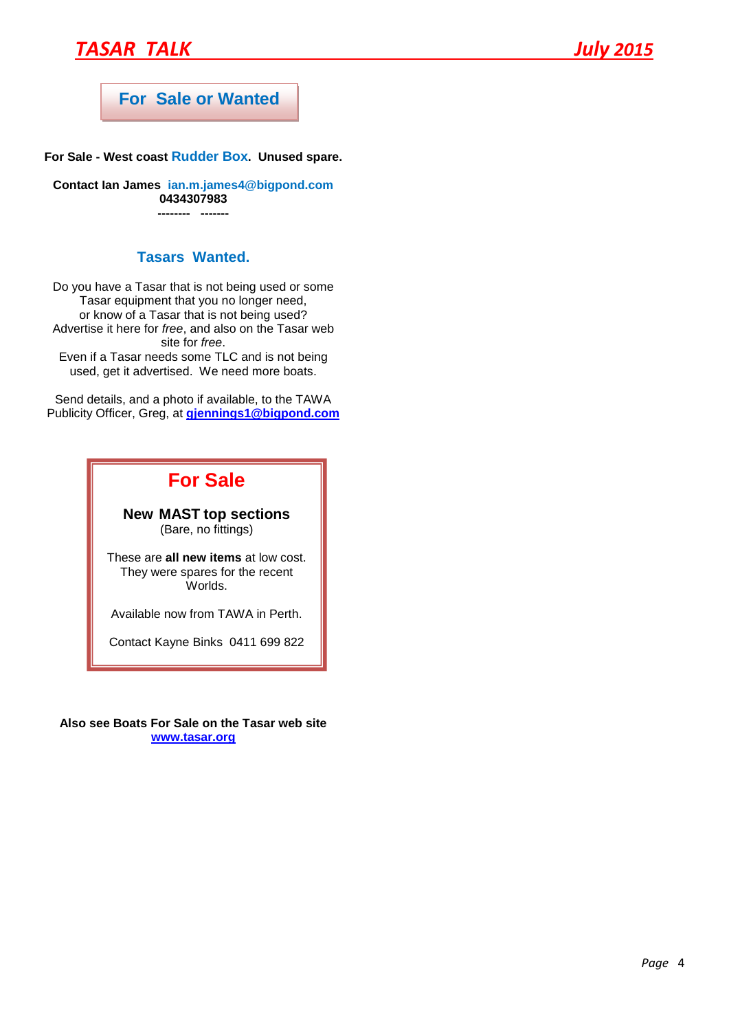# *TASAR TALK July 2015*

# **For Sale or Wanted**

**For Sale - West coast Rudder Box. Unused spare.**

**Contact Ian James [ian.m.james4@bigpond.com](mailto:ian.m.james4@bigpond.com) 0434307983 -------- -------**

#### **Tasars Wanted.**

Do you have a Tasar that is not being used or some Tasar equipment that you no longer need, or know of a Tasar that is not being used? Advertise it here for *free*, and also on the Tasar web site for *free*. Even if a Tasar needs some TLC and is not being used, get it advertised. We need more boats.

Send details, and a photo if available, to the TAWA Publicity Officer, Greg, at **[gjennings1@bigpond.com](mailto:gjennings1@bigpond.com)**

# **For Sale**

#### **New MAST top sections** (Bare, no fittings)

These are **all new items** at low cost. They were spares for the recent Worlds.

Available now from TAWA in Perth.

Contact Kayne Binks 0411 699 822

**Also see Boats For Sale on the Tasar web site [www.tasar.org](http://www.tasar.org/)**